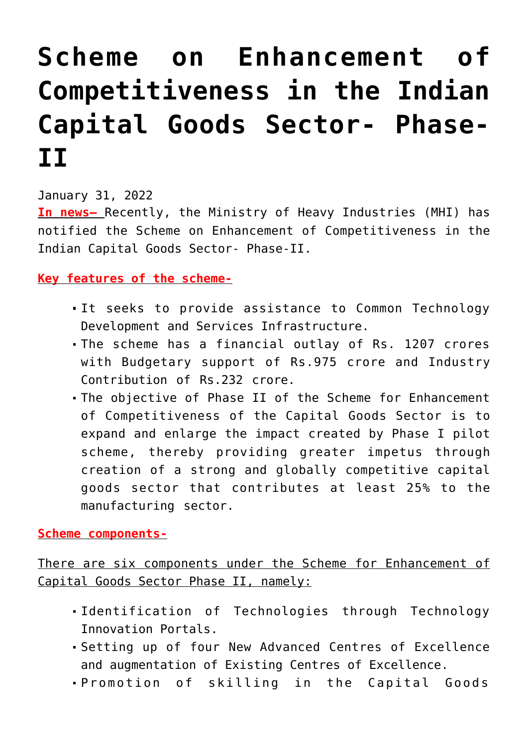## **[Scheme on Enhancement of](https://journalsofindia.com/scheme-on-enhancement-of-competitiveness-in-the-indian-capital-goods-sector-phase-ii/) [Competitiveness in the Indian](https://journalsofindia.com/scheme-on-enhancement-of-competitiveness-in-the-indian-capital-goods-sector-phase-ii/) [Capital Goods Sector- Phase-](https://journalsofindia.com/scheme-on-enhancement-of-competitiveness-in-the-indian-capital-goods-sector-phase-ii/)[II](https://journalsofindia.com/scheme-on-enhancement-of-competitiveness-in-the-indian-capital-goods-sector-phase-ii/)**

January 31, 2022

**In news–** Recently, the Ministry of Heavy Industries (MHI) has notified the Scheme on Enhancement of Competitiveness in the Indian Capital Goods Sector- Phase-II.

## **Key features of the scheme-**

- It seeks to provide assistance to Common Technology Development and Services Infrastructure.
- The scheme has a financial outlay of Rs. 1207 crores with Budgetary support of Rs.975 crore and Industry Contribution of Rs.232 crore.
- The objective of Phase II of the Scheme for Enhancement of Competitiveness of the Capital Goods Sector is to expand and enlarge the impact created by Phase I pilot scheme, thereby providing greater impetus through creation of a strong and globally competitive capital goods sector that contributes at least 25% to the manufacturing sector.

## **Scheme components-**

There are six components under the Scheme for Enhancement of Capital Goods Sector Phase II, namely:

- Identification of Technologies through Technology Innovation Portals.
- Setting up of four New Advanced Centres of Excellence and augmentation of Existing Centres of Excellence.
- Promotion of skilling in the Capital Goods